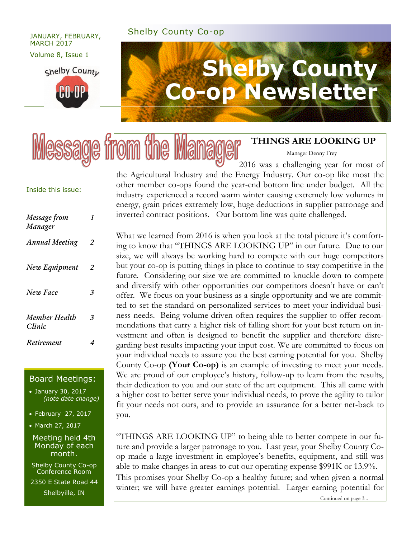## Shelby County Co-op JANUARY, FEBRUARY,

## MARCH 2017

Volume 8, Issue 1

shelby County **CO-OP** 

# **Shelby County Co-op Newsletter**

#### **THINGS ARE LOOKING UP**

Manager Denny Frey

2016 was a challenging year for most of the Agricultural Industry and the Energy Industry. Our co-op like most the other member co-ops found the year-end bottom line under budget. All the industry experienced a record warm winter causing extremely low volumes in energy, grain prices extremely low, huge deductions in supplier patronage and inverted contract positions. Our bottom line was quite challenged.

What we learned from 2016 is when you look at the total picture it's comforting to know that "THINGS ARE LOOKING UP" in our future. Due to our size, we will always be working hard to compete with our huge competitors but your co-op is putting things in place to continue to stay competitive in the future. Considering our size we are committed to knuckle down to compete and diversify with other opportunities our competitors doesn't have or can't offer. We focus on your business as a single opportunity and we are committed to set the standard on personalized services to meet your individual business needs. Being volume driven often requires the supplier to offer recommendations that carry a higher risk of falling short for your best return on investment and often is designed to benefit the supplier and therefore disregarding best results impacting your input cost. We are committed to focus on your individual needs to assure you the best earning potential for you. Shelby County Co-op **(Your Co-op)** is an example of investing to meet your needs. We are proud of our employee's history, follow-up to learn from the results, their dedication to you and our state of the art equipment. This all came with a higher cost to better serve your individual needs, to prove the agility to tailor fit your needs not ours, and to provide an assurance for a better net-back to you.

"THINGS ARE LOOKING UP" to being able to better compete in our future and provide a larger patronage to you. Last year, your Shelby County Coop made a large investment in employee's benefits, equipment, and still was able to make changes in areas to cut our operating expense \$991K or 13.9%.

This promises your Shelby Co-op a healthy future; and when given a normal winter; we will have greater earnings potential. Larger earning potential for

#### Inside this issue:

| Message from<br>Manager | 1 |
|-------------------------|---|
| <b>Annual Meeting</b>   | 2 |
| New Equipment           | 2 |
| New Face                | 3 |
| Member Health<br>Clinic | 3 |
| Retirement              | 4 |

#### Board Meetings:

 January 30, 2017 *(note date change)*

February 27, 2017

• March 27, 2017

Meeting held 4th Monday of each month.

Shelby County Co-op Conference Room

2350 E State Road 44 Shelbyille, IN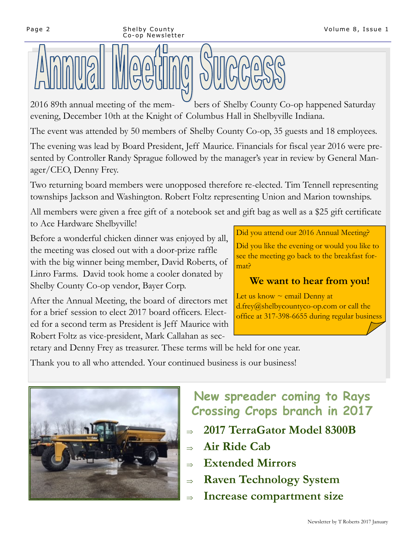#### Page 2 Shelby County Co-op Newsletter

2016 89th annual meeting of the mem- bers of Shelby County Co-op happened Saturday evening, December 10th at the Knight of Columbus Hall in Shelbyville Indiana.

The event was attended by 50 members of Shelby County Co-op, 35 guests and 18 employees.

The evening was lead by Board President, Jeff Maurice. Financials for fiscal year 2016 were presented by Controller Randy Sprague followed by the manager's year in review by General Manager/CEO, Denny Frey.

Two returning board members were unopposed therefore re-elected. Tim Tennell representing townships Jackson and Washington. Robert Foltz representing Union and Marion townships.

All members were given a free gift of a notebook set and gift bag as well as a \$25 gift certificate to Ace Hardware Shelbyville!

Before a wonderful chicken dinner was enjoyed by all, the meeting was closed out with a door-prize raffle with the big winner being member, David Roberts, of Linro Farms. David took home a cooler donated by Shelby County Co-op vendor, Bayer Corp.

Did you attend our 2016 Annual Meeting?

Did you like the evening or would you like to see the meeting go back to the breakfast format?

## **We want to hear from you!**

After the Annual Meeting, the board of directors met for a brief session to elect 2017 board officers. Elected for a second term as President is Jeff Maurice with Robert Foltz as vice-president, Mark Callahan as sec-Let us know  $\sim$  email Denny at d.frey@shelbycountyco-op.com or call the office at 317-398-6655 during regular business

retary and Denny Frey as treasurer. These terms will be held for one year.

Thank you to all who attended. Your continued business is our business!



## **New spreader coming to Rays Crossing Crops branch in 2017**

- **2017 TerraGator Model 8300B**
- **Air Ride Cab**
- **Extended Mirrors**
- **Raven Technology System**
- **Increase compartment size**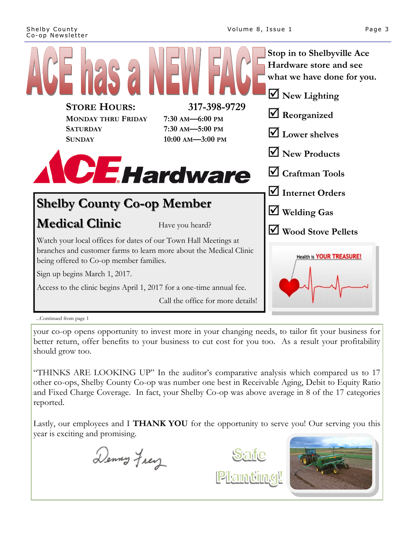

your co-op opens opportunity to invest more in your changing needs, to tailor fit your business for better return, offer benefits to your business to cut cost for you too. As a result your profitability should grow too.

"THINKS ARE LOOKING UP" In the auditor's comparative analysis which compared us to 17 other co-ops, Shelby County Co-op was number one best in Receivable Aging, Debit to Equity Ratio and Fixed Charge Coverage. In fact, your Shelby Co-op was above average in 8 of the 17 categories reported.

Lastly, our employees and I **THANK YOU** for the opportunity to serve you! Our serving you this year is exciting and promising.

Denny Frey